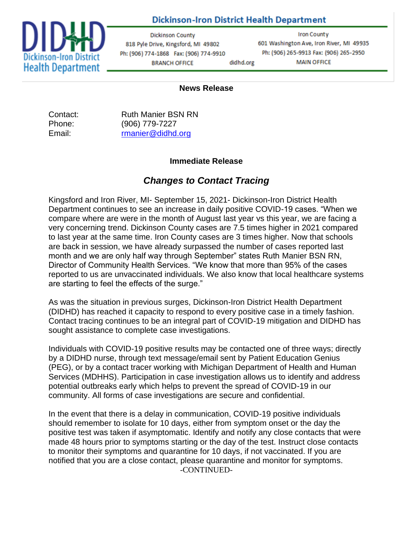## **Dickinson-Iron District Health Department**



**Dickinson County** 818 Pyle Drive, Kingsford, MI 49802 Ph: (906) 774-1868 Fax: (906) 774-9910 didhd.org **BRANCH OFFICE** 

**Iron County** 601 Washington Ave, Iron River, MI 49935 Ph: (906) 265-9913 Fax: (906) 265-2950 **MAIN OFFICE** 

## **News Release**

Contact: Ruth Manier BSN RN Phone: (906) 779-7227 Email: [rmanier@didhd.org](mailto:rmanier@didhd.org)

## **Immediate Release**

## *Changes to Contact Tracing*

Kingsford and Iron River, MI- September 15, 2021- Dickinson-Iron District Health Department continues to see an increase in daily positive COVID-19 cases. "When we compare where are were in the month of August last year vs this year, we are facing a very concerning trend. Dickinson County cases are 7.5 times higher in 2021 compared to last year at the same time. Iron County cases are 3 times higher. Now that schools are back in session, we have already surpassed the number of cases reported last month and we are only half way through September" states Ruth Manier BSN RN, Director of Community Health Services. "We know that more than 95% of the cases reported to us are unvaccinated individuals. We also know that local healthcare systems are starting to feel the effects of the surge."

As was the situation in previous surges, Dickinson-Iron District Health Department (DIDHD) has reached it capacity to respond to every positive case in a timely fashion. Contact tracing continues to be an integral part of COVID-19 mitigation and DIDHD has sought assistance to complete case investigations.

Individuals with COVID-19 positive results may be contacted one of three ways; directly by a DIDHD nurse, through text message/email sent by Patient Education Genius (PEG), or by a contact tracer working with Michigan Department of Health and Human Services (MDHHS). Participation in case investigation allows us to identify and address potential outbreaks early which helps to prevent the spread of COVID-19 in our community. All forms of case investigations are secure and confidential.

In the event that there is a delay in communication, COVID-19 positive individuals should remember to isolate for 10 days, either from symptom onset or the day the positive test was taken if asymptomatic. Identify and notify any close contacts that were made 48 hours prior to symptoms starting or the day of the test. Instruct close contacts to monitor their symptoms and quarantine for 10 days, if not vaccinated. If you are notified that you are a close contact, please quarantine and monitor for symptoms. -CONTINUED-